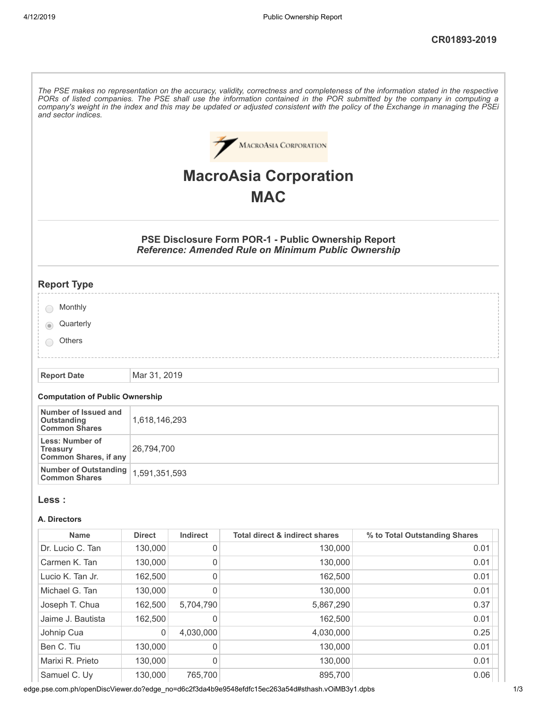| and sector indices.                                                | The PSE makes no representation on the accuracy, validity, correctness and completeness of the information stated in the respective<br>PORs of listed companies. The PSE shall use the information contained in the POR submitted by the company in computing a<br>company's weight in the index and this may be updated or adjusted consistent with the policy of the Exchange in managing the PSEi |           |                                                                                                                          |                               |  |  |
|--------------------------------------------------------------------|------------------------------------------------------------------------------------------------------------------------------------------------------------------------------------------------------------------------------------------------------------------------------------------------------------------------------------------------------------------------------------------------------|-----------|--------------------------------------------------------------------------------------------------------------------------|-------------------------------|--|--|
|                                                                    |                                                                                                                                                                                                                                                                                                                                                                                                      |           | <b>MACROASIA CORPORATION</b>                                                                                             |                               |  |  |
|                                                                    | <b>MacroAsia Corporation</b>                                                                                                                                                                                                                                                                                                                                                                         |           |                                                                                                                          |                               |  |  |
|                                                                    |                                                                                                                                                                                                                                                                                                                                                                                                      |           | <b>MAC</b>                                                                                                               |                               |  |  |
|                                                                    |                                                                                                                                                                                                                                                                                                                                                                                                      |           |                                                                                                                          |                               |  |  |
|                                                                    |                                                                                                                                                                                                                                                                                                                                                                                                      |           | <b>PSE Disclosure Form POR-1 - Public Ownership Report</b><br><b>Reference: Amended Rule on Minimum Public Ownership</b> |                               |  |  |
| <b>Report Type</b>                                                 |                                                                                                                                                                                                                                                                                                                                                                                                      |           |                                                                                                                          |                               |  |  |
| Monthly                                                            |                                                                                                                                                                                                                                                                                                                                                                                                      |           |                                                                                                                          |                               |  |  |
| Quarterly                                                          |                                                                                                                                                                                                                                                                                                                                                                                                      |           |                                                                                                                          |                               |  |  |
| Others                                                             |                                                                                                                                                                                                                                                                                                                                                                                                      |           |                                                                                                                          |                               |  |  |
|                                                                    |                                                                                                                                                                                                                                                                                                                                                                                                      |           |                                                                                                                          |                               |  |  |
| <b>Report Date</b>                                                 | Mar 31, 2019                                                                                                                                                                                                                                                                                                                                                                                         |           |                                                                                                                          |                               |  |  |
| <b>Computation of Public Ownership</b>                             |                                                                                                                                                                                                                                                                                                                                                                                                      |           |                                                                                                                          |                               |  |  |
| Number of Issued and<br>Outstanding<br><b>Common Shares</b>        | 1,618,146,293                                                                                                                                                                                                                                                                                                                                                                                        |           |                                                                                                                          |                               |  |  |
| Less: Number of<br><b>Treasury</b><br><b>Common Shares, if any</b> | 26,794,700                                                                                                                                                                                                                                                                                                                                                                                           |           |                                                                                                                          |                               |  |  |
| <b>Number of Outstanding</b><br><b>Common Shares</b>               | 1,591,351,593                                                                                                                                                                                                                                                                                                                                                                                        |           |                                                                                                                          |                               |  |  |
| Less :                                                             |                                                                                                                                                                                                                                                                                                                                                                                                      |           |                                                                                                                          |                               |  |  |
| A. Directors                                                       |                                                                                                                                                                                                                                                                                                                                                                                                      |           |                                                                                                                          |                               |  |  |
| <b>Name</b>                                                        | <b>Direct</b>                                                                                                                                                                                                                                                                                                                                                                                        | Indirect  | <b>Total direct &amp; indirect shares</b>                                                                                | % to Total Outstanding Shares |  |  |
| Dr. Lucio C. Tan                                                   | 130,000                                                                                                                                                                                                                                                                                                                                                                                              | 0         | 130,000                                                                                                                  | 0.01                          |  |  |
| Carmen K. Tan                                                      | 130,000                                                                                                                                                                                                                                                                                                                                                                                              | 0         | 130,000                                                                                                                  | 0.01                          |  |  |
| Lucio K. Tan Jr.                                                   | 162,500                                                                                                                                                                                                                                                                                                                                                                                              | 0         | 162,500                                                                                                                  | 0.01                          |  |  |
| Michael G. Tan                                                     | 130,000                                                                                                                                                                                                                                                                                                                                                                                              | 0         | 130,000                                                                                                                  | 0.01                          |  |  |
| Joseph T. Chua                                                     | 162,500                                                                                                                                                                                                                                                                                                                                                                                              | 5,704,790 | 5,867,290                                                                                                                | 0.37                          |  |  |
| Jaime J. Bautista                                                  | 162,500                                                                                                                                                                                                                                                                                                                                                                                              | 0         | 162,500                                                                                                                  | 0.01                          |  |  |
| Johnip Cua                                                         | 0                                                                                                                                                                                                                                                                                                                                                                                                    | 4,030,000 | 4,030,000                                                                                                                | 0.25                          |  |  |
| Ben C. Tiu                                                         | 130,000                                                                                                                                                                                                                                                                                                                                                                                              | 0         | 130,000                                                                                                                  | 0.01                          |  |  |
| Marixi R. Prieto                                                   | 130,000                                                                                                                                                                                                                                                                                                                                                                                              | 0         | 130,000                                                                                                                  | 0.01                          |  |  |
| Samuel C. Uy                                                       | 130,000                                                                                                                                                                                                                                                                                                                                                                                              | 765,700   | 895,700<br>$0.540 - f + f$                                                                                               | 0.06                          |  |  |

edge.pse.com.ph/openDiscViewer.do?edge\_no=d6c2f3da4b9e9548efdfc15ec263a54d#sthash.vOiMB3y1.dpbs 1/3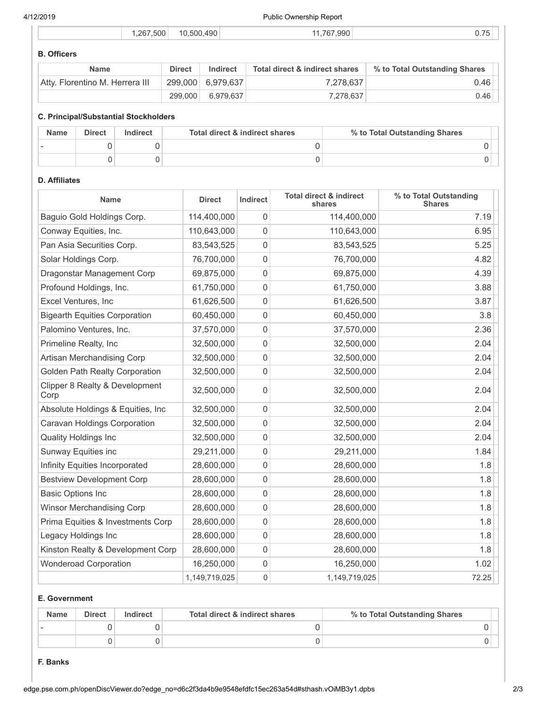4/12/2019 Public Ownership Report

|  | .267.500 | 10.500.490 | 1.767.990 | $\sim$ $\rightarrow$ $\sim$<br>◡., |
|--|----------|------------|-----------|------------------------------------|
|  |          |            |           |                                    |

# **B. Officers**

| <b>Name</b>                     | <b>Direct</b> | Indirect          | Total direct & indirect shares | % to Total Outstanding Shares |
|---------------------------------|---------------|-------------------|--------------------------------|-------------------------------|
| Atty. Florentino M. Herrera III |               | 299,000 6,979,637 | 7.278.637                      | 0.46                          |
|                                 | 299,000       | 6,979,637         | 7.278.637                      | $0.46$                        |

### **C. Principal/Substantial Stockholders**

| <b>Name</b> | <b>Direct</b> | Indirect | Total direct & indirect shares | % to Total Outstanding Shares |
|-------------|---------------|----------|--------------------------------|-------------------------------|
|             |               |          |                                |                               |
|             |               |          |                                |                               |

#### **D. Affiliates**

| <b>Name</b>                            | <b>Direct</b> | Indirect            | <b>Total direct &amp; indirect</b><br>shares | % to Total Outstanding<br><b>Shares</b> |
|----------------------------------------|---------------|---------------------|----------------------------------------------|-----------------------------------------|
| Baguio Gold Holdings Corp.             | 114,400,000   | 0                   | 114,400,000                                  | 7.19                                    |
| Conway Equities, Inc.                  | 110,643,000   | $\mathbf{0}$        | 110,643,000                                  | 6.95                                    |
| Pan Asia Securities Corp.              | 83,543,525    | 0                   | 83,543,525                                   | 5.25                                    |
| Solar Holdings Corp.                   | 76,700,000    | 0                   | 76,700,000                                   | 4.82                                    |
| Dragonstar Management Corp             | 69,875,000    | $\mathbf{0}$        | 69,875,000                                   | 4.39                                    |
| Profound Holdings, Inc.                | 61,750,000    | 0                   | 61,750,000                                   | 3.88                                    |
| Excel Ventures, Inc                    | 61,626,500    | 0                   | 61,626,500                                   | 3.87                                    |
| <b>Bigearth Equities Corporation</b>   | 60,450,000    | 0                   | 60,450,000                                   | 3.8                                     |
| Palomino Ventures, Inc.                | 37,570,000    | 0                   | 37,570,000                                   | 2.36                                    |
| Primeline Realty, Inc.                 | 32,500,000    | 0                   | 32,500,000                                   | 2.04                                    |
| Artisan Merchandising Corp             | 32,500,000    | 0                   | 32,500,000                                   | 2.04                                    |
| <b>Golden Path Realty Corporation</b>  | 32,500,000    | 0                   | 32,500,000                                   | 2.04                                    |
| Clipper 8 Realty & Development<br>Corp | 32,500,000    | 0                   | 32,500,000                                   | 2.04                                    |
| Absolute Holdings & Equities, Inc      | 32,500,000    | 0                   | 32,500,000                                   | 2.04                                    |
| Caravan Holdings Corporation           | 32,500,000    | 0                   | 32,500,000                                   | 2.04                                    |
| <b>Quality Holdings Inc</b>            | 32,500,000    | 0                   | 32,500,000                                   | 2.04                                    |
| Sunway Equities inc                    | 29,211,000    | 0                   | 29,211,000                                   | 1.84                                    |
| Infinity Equities Incorporated         | 28,600,000    | 0                   | 28,600,000                                   | 1.8                                     |
| <b>Bestview Development Corp</b>       | 28,600,000    | 0                   | 28,600,000                                   | 1.8                                     |
| <b>Basic Options Inc</b>               | 28,600,000    | $\mathsf{O}\xspace$ | 28,600,000                                   | 1.8                                     |
| <b>Winsor Merchandising Corp</b>       | 28,600,000    | $\mathsf{O}\xspace$ | 28,600,000                                   | 1.8                                     |
| Prima Equities & Investments Corp      | 28,600,000    | 0                   | 28,600,000                                   | 1.8                                     |
| Legacy Holdings Inc                    | 28,600,000    | $\mathsf{O}\xspace$ | 28,600,000                                   | 1.8                                     |
| Kinston Realty & Development Corp      | 28,600,000    | $\mathsf{O}\xspace$ | 28,600,000                                   | 1.8                                     |
| <b>Wonderoad Corporation</b>           | 16,250,000    | 0                   | 16,250,000                                   | 1.02                                    |
|                                        | 1,149,719,025 | 0                   | 1,149,719,025                                | 72.25                                   |

#### **E. Government**

| <b>Name</b> | <b>Direct</b> | Indirect | Total direct & indirect shares | % to Total Outstanding Shares |
|-------------|---------------|----------|--------------------------------|-------------------------------|
|             |               |          |                                |                               |
|             |               |          |                                |                               |

#### **F. Banks**